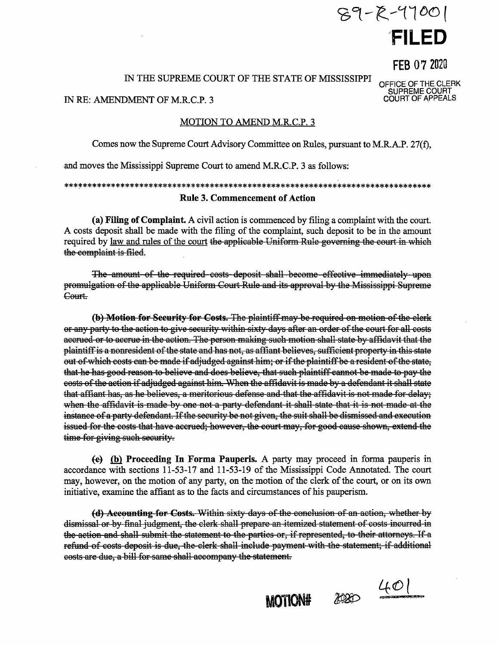# $89 - 8 - 4700$ FILED

FEB 07 2020

OFFICE OF THE CLERK<br>SUPREME COURT<br>COURT OF APPEALS

## IN THE SUPREME COURT OF THE STATE OF MISSISSIPPI

## IN RE: AMENDMENT OF M.R.C.P. 3

## MOTION TO AMEND M.R.C.P. 3

Comes now the Supreme Court Advisory Committee on Rules, pursuant to M.R.A.P. 27(f),

and moves the Mississippi Supreme Court to amend M.R.C.P. 3 as follows:

## **Rule 3. Commencement of Action**

(a) Filing of Complaint. A civil action is commenced by filing a complaint with the court. A costs deposit shall be made with the filing of the complaint, such deposit to be in the amount required by law and rules of the court the applicable Uniform Rule governing the court in which the complaint is filed.

The amount of the required costs deposit shall become effective immediately upon promulgation of the applicable Uniform Court Rule and its approval by the Mississippi Supreme Court.

(b) Motion for Security for Costs. The plaintiff may be required on motion of the clerk or any party to the action to give security within sixty days after an order of the court for all costs accrued or to accrue in the action. The person making such motion shall state by affidavit that the plaintiff is a nonresident of the state and has not, as affiant believes, sufficient property in this state out of which costs can be made if adjudged against him; or if the plaintiff be a resident of the state, that he has good reason to believe and does believe, that such plaintiff cannot be made to pay the costs of the action if adjudged against him. When the affidavit is made by a defendant it shall state that affiant has, as he believes, a meritorious defense and that the affidavit is not made for delay; when the affidavit is made by one not a party defendant it shall state that it is not made at the instance of a party defendant. If the security be not given, the suit shall be dismissed and execution issued for the costs that have accrued; however, the court may, for good cause shown, extend the time for giving such security.

 $\left\{e\right\}$  (b) Proceeding In Forma Pauperis. A party may proceed in forma pauperis in accordance with sections 11-53-17 and 11-53-19 of the Mississippi Code Annotated. The court may, however, on the motion of any party, on the motion of the clerk of the court, or on its own initiative, examine the affiant as to the facts and circumstances of his pauperism.

(d) Accounting for Costs. Within sixty days of the conclusion of an action, whether by dismissal or by final judgment, the clerk shall prepare an itemized statement of costs incurred in the action and shall submit the statement to the parties or, if represented, to their attorneys. If a refund of costs deposit is due, the clerk shall include payment with the statement; if additional costs are due, a bill for same shall accompany the statement.

**MOTION#** 

2020 401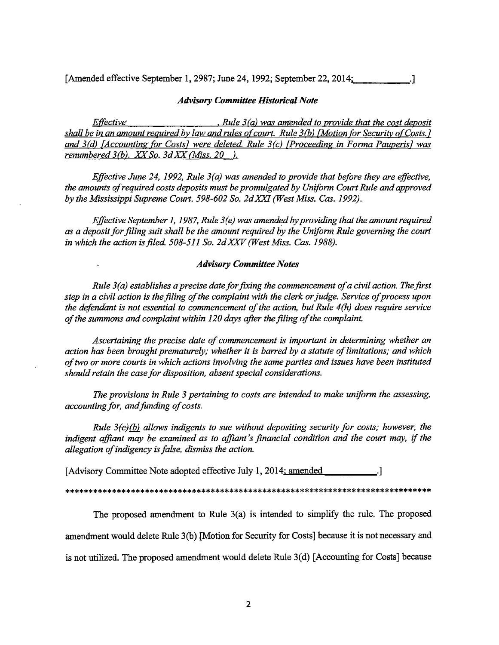[Amended effective September 1, 2987; June 24, 1992; September 22, 2014; [105]

## *Advisory Committee Historical Note*

*Effective* • *Rule 3 (a) was amended to provide that the cost deposit shall be in an amount required by law and rules of court. Rule 3 (b) {Motion for Security of Costs. 7 and 3(d) {Accounting for Costsl were deleted. Rule 3(c) [Proceeding in Forma Pauperisl was renumbered 3(b). XX-So. 3d.XX"(Miss. 20 ).* 

*Effective June 24, 1992, Rule 3(a) was amended to provide that before they are effective, the amounts of required costs deposits must be promulgated by Uniform Court Rule and approved by the Mississippi Supreme Court. 598-602 So. 2dXXI (West Miss. Gas. 1992).* 

*Effective September 1, 1987, Rule 3(e) was amended by providing that the amount required as a deposit for filing suit shall be the amount required by the Uniform Rule governing the court in which the action is filed. 508-511 So. 2d XXV (West Miss. Gas. 1988).* 

## *Advisory Committee Notes*

*Rule 3(a) establishes a precise date for fixing the commencement of a civil action. The first step in a civil action is the filing of the complaint with the clerk or judge. Service of process upon the defendant is not essential to commencement of the action, but Rule 4(h) does require service of the summons and complaint within 120 days after the filing of the complaint.* 

*Ascertaining the precise date of commencement is important in determining whether an action has been brought prematurely; whether it* is *barred by a statute of limitations; and which of two or more courts in which actions involving the same parties and issues have been instituted should retain the case for disposition, absent special considerations.* 

*The provisions in Rule 3 pertaining to costs are intended to make uniform the assessing, accounting for, and funding of costs.* 

*Rule 3(e)(b) allows indigents to sue without depositing security for costs; however, the indigent affiant may be examined as to affiant's financial condition and the court may, if the allegation of indigency is false, dismiss the action.* 

[Advisory Committee Note adopted effective July 1,  $2014$ ; amended  $\qquad$ .]

#### \*\*\*\*\*\*\*\*\*\*\*\*\*\*\*\*\*\*\*\*\*\*\*\*\*\*\*\*\*\*\*\*\*\*\*\*\*\*\*\*\*\*\*\*\*\*\*\*\*\*\*\*\*\*\*\*\*\*\*\*\*\*\*\*\*\*\*\*\*\*\*\*\*\*\*\*\*\*

The proposed amendment to Rule 3(a) is intended to simplify the rule. The proposed amendment would delete Rule 3(b) [Motion for Security for Costs] because it is not necessary and is not utilized. The proposed amendment would delete Rule 3(d) [Accounting for Costs] because